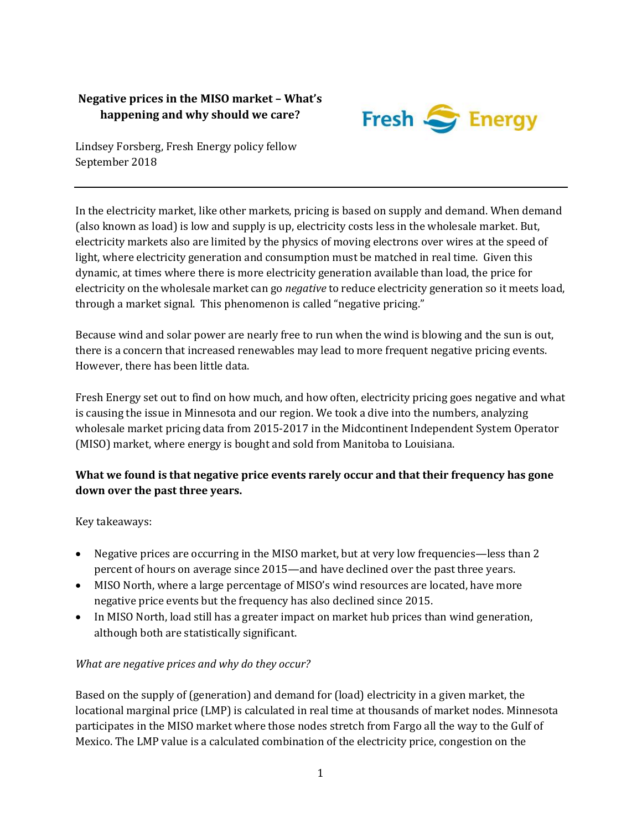# **Negative prices in the MISO market – What's happening and why should we care?**



Lindsey Forsberg, Fresh Energy policy fellow September 2018

In the electricity market, like other markets, pricing is based on supply and demand. When demand (also known as load) is low and supply is up, electricity costs less in the wholesale market. But, electricity markets also are limited by the physics of moving electrons over wires at the speed of light, where electricity generation and consumption must be matched in real time. Given this dynamic, at times where there is more electricity generation available than load, the price for electricity on the wholesale market can go *negative* to reduce electricity generation so it meets load, through a market signal. This phenomenon is called "negative pricing."

Because wind and solar power are nearly free to run when the wind is blowing and the sun is out, there is a concern that increased renewables may lead to more frequent negative pricing events. However, there has been little data.

Fresh Energy set out to find on how much, and how often, electricity pricing goes negative and what is causing the issue in Minnesota and our region. We took a dive into the numbers, analyzing wholesale market pricing data from 2015-2017 in the Midcontinent Independent System Operator (MISO) market, where energy is bought and sold from Manitoba to Louisiana.

## **What we found is that negative price events rarely occur and that their frequency has gone down over the past three years.**

Key takeaways:

- Negative prices are occurring in the MISO market, but at very low frequencies—less than 2 percent of hours on average since 2015—and have declined over the past three years.
- MISO North, where a large percentage of MISO's wind resources are located, have more negative price events but the frequency has also declined since 2015.
- In MISO North, load still has a greater impact on market hub prices than wind generation, although both are statistically significant.

### *What are negative prices and why do they occur?*

Based on the supply of (generation) and demand for (load) electricity in a given market, the locational marginal price (LMP) is calculated in real time at thousands of market nodes. Minnesota participates in the MISO market where those nodes stretch from Fargo all the way to the Gulf of Mexico. The LMP value is a calculated combination of the electricity price, congestion on the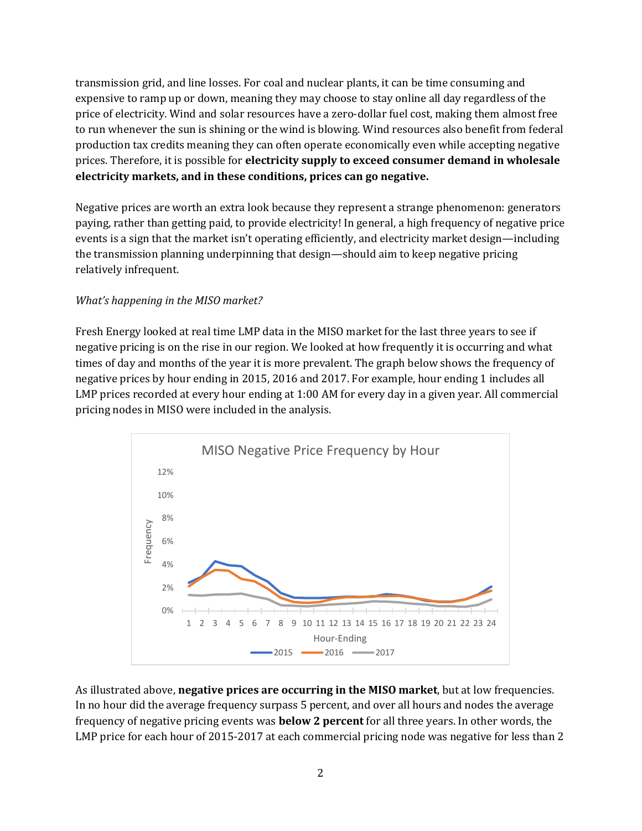transmission grid, and line losses. For coal and nuclear plants, it can be time consuming and expensive to ramp up or down, meaning they may choose to stay online all day regardless of the price of electricity. Wind and solar resources have a zero-dollar fuel cost, making them almost free to run whenever the sun is shining or the wind is blowing. Wind resources also benefit from federal production tax credits meaning they can often operate economically even while accepting negative prices. Therefore, it is possible for **electricity supply to exceed consumer demand in wholesale electricity markets, and in these conditions, prices can go negative.** 

Negative prices are worth an extra look because they represent a strange phenomenon: generators paying, rather than getting paid, to provide electricity! In general, a high frequency of negative price events is a sign that the market isn't operating efficiently, and electricity market design—including the transmission planning underpinning that design—should aim to keep negative pricing relatively infrequent.

### *What's happening in the MISO market?*

Fresh Energy looked at real time LMP data in the MISO market for the last three years to see if negative pricing is on the rise in our region. We looked at how frequently it is occurring and what times of day and months of the year it is more prevalent. The graph below shows the frequency of negative prices by hour ending in 2015, 2016 and 2017. For example, hour ending 1 includes all LMP prices recorded at every hour ending at 1:00 AM for every day in a given year. All commercial pricing nodes in MISO were included in the analysis.



As illustrated above, **negative prices are occurring in the MISO market**, but at low frequencies. In no hour did the average frequency surpass 5 percent, and over all hours and nodes the average frequency of negative pricing events was **below 2 percent** for all three years. In other words, the LMP price for each hour of 2015-2017 at each commercial pricing node was negative for less than 2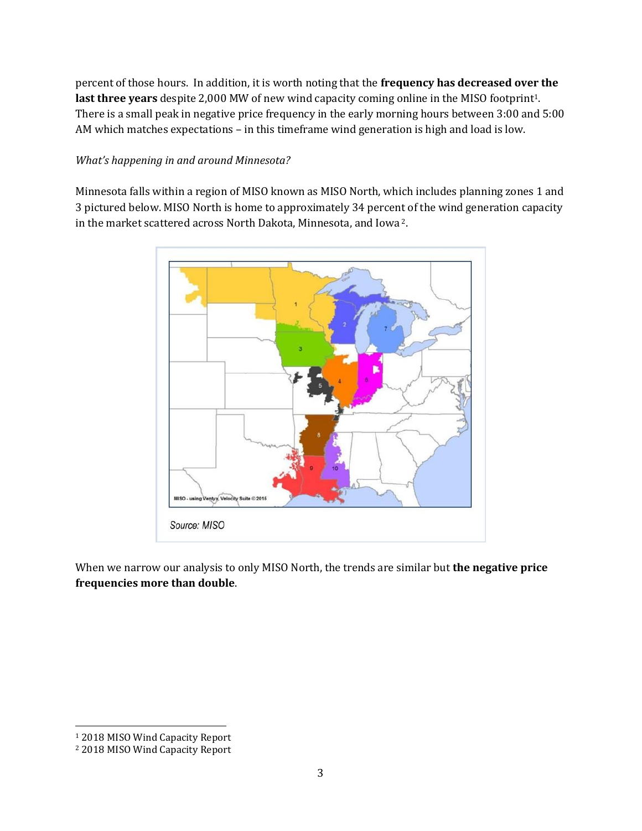percent of those hours. In addition, it is worth noting that the **frequency has decreased over the**  last three years despite 2,000 MW of new wind capacity coming online in the MISO footprint<sup>1</sup>. There is a small peak in negative price frequency in the early morning hours between 3:00 and 5:00 AM which matches expectations – in this timeframe wind generation is high and load is low.

#### *What's happening in and around Minnesota?*

Minnesota falls within a region of MISO known as MISO North, which includes planning zones 1 and 3 pictured below. MISO North is home to approximately 34 percent of the wind generation capacity in the market scattered across North Dakota, Minnesota, and Iowa <sup>2</sup>.



When we narrow our analysis to only MISO North, the trends are similar but **the negative price frequencies more than double**.

 $\overline{\phantom{0}}$ 

<sup>1</sup> 2018 MISO Wind Capacity Report

<sup>2</sup> 2018 MISO Wind Capacity Report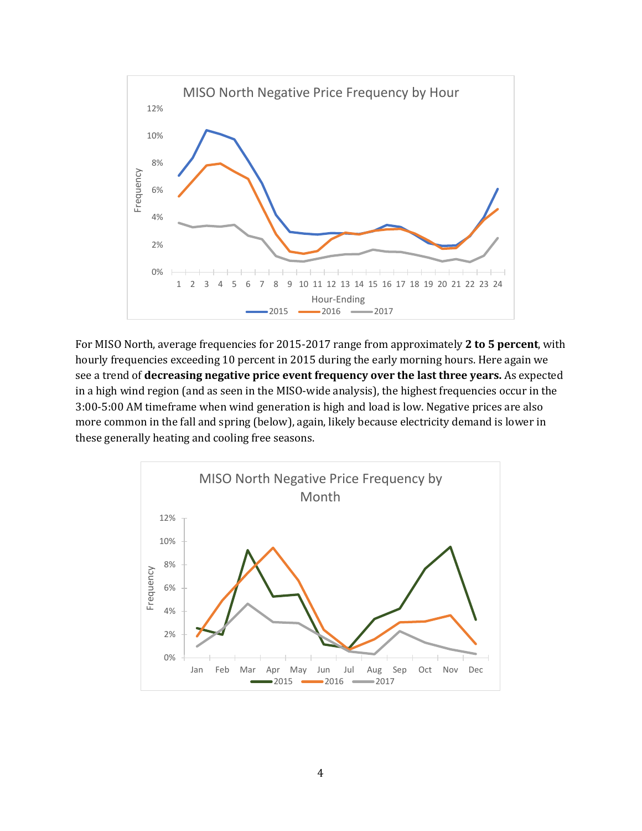

For MISO North, average frequencies for 2015-2017 range from approximately **2 to 5 percent**, with hourly frequencies exceeding 10 percent in 2015 during the early morning hours. Here again we see a trend of **decreasing negative price event frequency over the last three years.** As expected in a high wind region (and as seen in the MISO-wide analysis), the highest frequencies occur in the 3:00-5:00 AM timeframe when wind generation is high and load is low. Negative prices are also more common in the fall and spring (below), again, likely because electricity demand is lower in these generally heating and cooling free seasons.